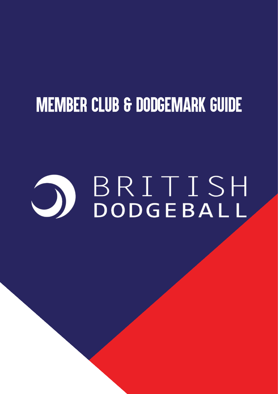## **MEMBER CLUB & DODGEMARK GUIDE**

# BRITISH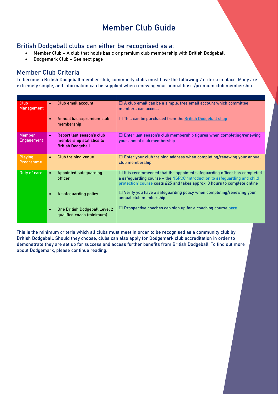#### Member Club Guide

#### British Dodgeball clubs can either be recognised as a:

- Member Club A club that holds basic or premium club membership with British Dodgeball
- Dodgemark Club See next page

#### Member Club Criteria

To become a British Dodgeball member club, community clubs must have the following 7 criteria in place. Many are extremely simple, and information can be supplied when renewing your annual basic/premium club membership.

| Club<br>Management          | $\bullet$ | Club email account                                                                | $\Box$ A club email can be a simple, free email account which committee<br>members can access                                                                                                                                            |
|-----------------------------|-----------|-----------------------------------------------------------------------------------|------------------------------------------------------------------------------------------------------------------------------------------------------------------------------------------------------------------------------------------|
|                             | $\bullet$ | Annual basic/premium club<br>membership                                           | $\Box$ This can be purchased from the British Dodgeball shop                                                                                                                                                                             |
| Member<br><b>Engagement</b> | $\bullet$ | Report last season's club<br>membership statistics to<br><b>British Dodgeball</b> | $\Box$ Enter last season's club membership figures when completing/renewing<br>your annual club membership                                                                                                                               |
| Playing<br>Programme        | $\bullet$ | Club training venue                                                               | Enter your club training address when completing/renewing your annual<br>club membership                                                                                                                                                 |
| Duty of care                |           | Appointed safeguarding<br>officer                                                 | $\Box$ It is recommended that the appointed safeguarding officer has completed<br>a safeguarding course - the NSPCC 'introduction to safeguarding and child<br>protection' course costs £25 and takes approx. 3 hours to complete online |
|                             |           | A safeguarding policy                                                             | $\Box$ Verify you have a safeguarding policy when completing/renewing your<br>annual club membership                                                                                                                                     |
|                             |           | One British Dodgeball Level 2<br>qualified coach (minimum)                        | $\Box$ Prospective coaches can sign up for a coaching course here                                                                                                                                                                        |

This is the minimum criteria which all clubs must meet in order to be recognised as a community club by British Dodgeball. Should they choose, clubs can also apply for Dodgemark club accreditation in order to demonstrate they are set up for success and access further benefits from British Dodgeball. To find out more about Dodgemark, please continue reading.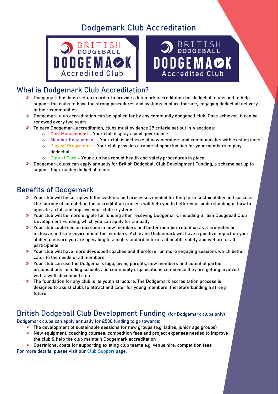#### Dodgemark Club Accreditation





#### What is Dodgemark Club Accreditation?

- $\bullet$ Dodgemark has been set up in order to provide a kitemark accreditation for dodgeball clubs and to help support the clubs to have the strong procedures and systems in place for safe, engaging dodgeball delivery in their communities.
- **Dodgemark club accreditation can be applied for by any community dodgeball club. Once achieved, it can be** renewed every two years.
- To earn Dodgemark accreditation, clubs must evidence 29 criteria set out in 4 sections:
	- o Club Management Your club displays good governance
	- o Member Engagement Your club is inclusive of new members and communicates with existing ones
	- o Playing Programme Your club provides a range of opportunities for your members to play dodgeball
	- o Duty of Care Your club has robust health and safety procedures in place
- **Dodgemark clubs can apply annually for British Dodgeball Club Development Funding, a scheme set up to 3** support high-quality dodgeball clubs.

#### Benefits of Dodgemark

- **3** Your club will be set up with the systems and processes needed for long term sustainability and success. The journey of completing the accreditation process will help you to better your understanding of how to operate a club and improve your club's systems.
- Your club will be more eligible for funding after receiving Dodgemark, including British Dodgeball Club Development Funding, which you can apply for annually.
- **Commun Could See an increase in new members and better member retention as it promotes an** inclusive and safe environment for members. Achieving Dodgemark will have a positive impact on your ability to ensure you are operating to a high standard in terms of health, safety and welfare of all participants.
- **3** Your club will have more developed coaches and therefore run more engaging sessions which better cater to the needs of all members.
- **3** Your club can use the Dodgemark logo, giving parents, new members and potential partner organisations including schools and community organisations confidence they are getting involved with a well-developed club.
- **The foundation for any club is its youth structure. The Dodgemark accreditation process is** designed to assist clubs to attract and cater for young members, therefore building a strong future.

#### British Dodgeball Club Development Funding (for Dodgemark clubs only)

Dodgemark clubs can apply annually for £500 funding to go towards:

- $\bullet$ The development of sustainable sessions for new groups (e.g. ladies, junior age groups)
- $\bullet$ New equipment, coaching courses, competition fees and project expenses needed to improve the club & help the club maintain Dodgemark accreditation

 $\bullet$ Operational costs for supporting existing club teams e.g. venue hire, competition fees For more details, please visit our [Club Support](https://britishdodgeball.org/club-support/) page.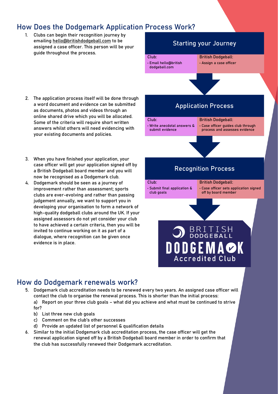#### How Does the Dodgemark Application Process Work?

1. Clubs can begin their recognition journey by emailing [hello@britishdodgeball.com](mailto:hello@britishdodgeball.com) to be assigned a case officer. This person will be your guide throughout the process.

#### Starting your Journey

Club: • Email hello@british dodgeball.com

British Dodgeball: • Assign a case officer

2. The application process itself will be done through a word document and evidence can be submitted as documents, photos and videos through an online shared drive which you will be allocated. Some of the criteria will require short written answers whilst others will need evidencing with your existing documents and policies.

#### Application Process

- Club: • Write anecdotal answers & submit evidence British Dodgeball:
	- Case officer guides club through process and assesses evidence

- 3. When you have finished your application, your case officer will get your application signed off by a British Dodgeball board member and you will now be recognised as a Dodgemark club.
- 4. Dodgemark should be seen as a journey of improvement rather than assessment; sports clubs are ever-evolving and rather than passing judgement annually, we want to support you in developing your organisation to form a network of high-quality dodgeball clubs around the UK. If your assigned assessors do not yet consider your club to have achieved a certain criteria, then you will be invited to continue working on it as part of a dialogue, where recognition can be given once evidence is in place.

#### Recognition Process

Club: • Submit final application & club goals

British Dodgeball: • Case officer sets application signed off by board member

### **BRITISH DODGEMAOK Accredited Club**

#### How do Dodgemark renewals work?

- 5. Dodgemark club accreditation needs to be renewed every two years. An assigned case officer will contact the club to organise the renewal process. This is shorter than the initial process: a) Report on your three club goals – what did you achieve and what must be continued to strive for?
	- b) List three new club goals
	- c) Comment on the club's other successes
	- d) Provide an updated list of personnel & qualification details
- 6. Similar to the initial Dodgemark club accreditation process, the case officer will get the renewal application signed off by a British Dodgeball board member in order to confirm that the club has successfully renewed their Dodgemark accreditation.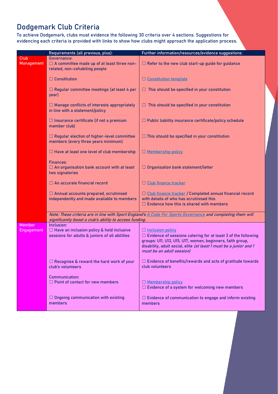#### Dodgemark Club Criteria

To achieve Dodgemark, clubs must evidence the following 30 criteria over 4 sections. Suggestions for evidencing each criteria is provided with links to show how clubs might approach the application process.

|                           | Requirements (all previous, plus):                                                                                                                                     | Further information/resources/evidence suggestions:                                                                                                                                                                                                         |  |  |  |
|---------------------------|------------------------------------------------------------------------------------------------------------------------------------------------------------------------|-------------------------------------------------------------------------------------------------------------------------------------------------------------------------------------------------------------------------------------------------------------|--|--|--|
| Club<br><b>Management</b> | Governance:<br>$\Box$ A committee made up of at least three non-<br>related, non-cohabiting people                                                                     | $\Box$ Refer to the new club start-up guide for guidance                                                                                                                                                                                                    |  |  |  |
|                           | $\Box$ Constitution                                                                                                                                                    | □ Constitution template                                                                                                                                                                                                                                     |  |  |  |
|                           | $\Box$ Regular committee meetings (at least 4 per<br>year)                                                                                                             | $\Box$ This should be specified in your constitution                                                                                                                                                                                                        |  |  |  |
|                           | $\Box$ Manage conflicts of interests appropriately<br>in line with a statement/policy                                                                                  | $\Box$ This should be specified in your constitution                                                                                                                                                                                                        |  |  |  |
|                           | $\Box$ Insurance certificate (if not a premium<br>member club)                                                                                                         | $\Box$ Public liability insurance certificate/policy schedule                                                                                                                                                                                               |  |  |  |
|                           | □ Regular election of higher-level committee<br>members (every three years minimum)                                                                                    | $\Box$ This should be specified in your constitution                                                                                                                                                                                                        |  |  |  |
|                           | $\Box$ Have at least one level of club membership                                                                                                                      | Membership policy                                                                                                                                                                                                                                           |  |  |  |
|                           | <b>Finances:</b><br>$\Box$ An organisation bank account with at least<br>two signatories                                                                               | $\Box$ Organisation bank statement/letter                                                                                                                                                                                                                   |  |  |  |
|                           | $\Box$ An accurate financial record                                                                                                                                    | □ Club finance tracker                                                                                                                                                                                                                                      |  |  |  |
|                           | $\Box$ Annual accounts prepared, scrutinised<br>independently and made available to members                                                                            | □ Club finance tracker / Completed annual financial record<br>with details of who has scrutinised this<br>$\Box$ Evidence how this is shared with members                                                                                                   |  |  |  |
|                           | Note: These criteria are in line with Sport England's A Code For Sports Governance and completing them will<br>significantly boost a club's ability to access funding. |                                                                                                                                                                                                                                                             |  |  |  |
| Member<br>Engagement      | Inclusion:<br>$\Box$ Have an inclusion policy & hold inclusive<br>sessions for adults & juniors of all abilities                                                       | □ Inclusion policy<br>$\Box$ Evidence of sessions catering for at least 3 of the following<br>groups: U11, U13, U15, U17, women, beginners, faith group,<br>disability, adult social, elite (at least 1 must be a junior and 1<br>must be an adult session) |  |  |  |
|                           | $\Box$ Recognise & reward the hard work of your<br>club's volunteers                                                                                                   | $\Box$ Evidence of benefits/rewards and acts of gratitude towards<br>club volunteers                                                                                                                                                                        |  |  |  |
|                           | <b>Communication:</b><br>$\Box$ Point of contact for new members                                                                                                       | Membership policy<br>$\Box$ Evidence of a system for welcoming new members                                                                                                                                                                                  |  |  |  |
|                           | $\Box$ Ongoing communication with existing<br>members                                                                                                                  | $\Box$ Evidence of communication to engage and inform existing<br>members                                                                                                                                                                                   |  |  |  |